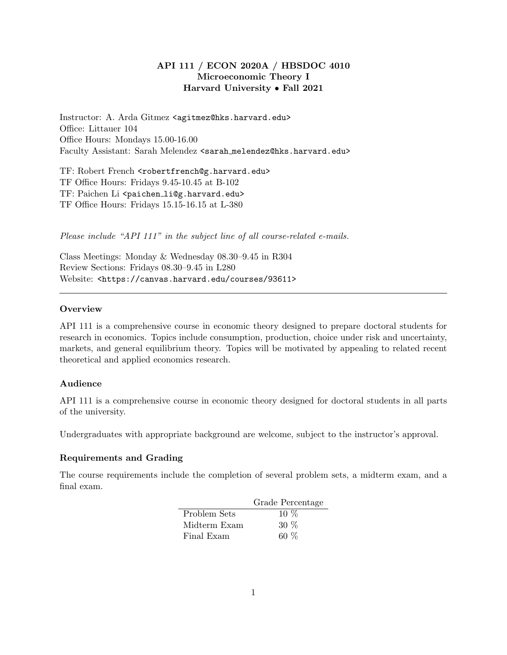# API 111 / ECON 2020A / HBSDOC 4010 Microeconomic Theory I Harvard University • Fall 2021

Instructor: A. Arda Gitmez <agitmez@hks.harvard.edu> Office: Littauer 104 Office Hours: Mondays 15.00-16.00 Faculty Assistant: Sarah Melendez <sarah melendez@hks.harvard.edu>

TF: Robert French <robertfrench@g.harvard.edu> TF Office Hours: Fridays 9.45-10.45 at B-102 TF: Paichen Li <paichen\_li@g.harvard.edu> TF Office Hours: Fridays 15.15-16.15 at L-380

Please include "API 111" in the subject line of all course-related e-mails.

Class Meetings: Monday & Wednesday 08.30–9.45 in R304 Review Sections: Fridays 08.30–9.45 in L280 Website: <https://canvas.harvard.edu/courses/93611>

## **Overview**

API 111 is a comprehensive course in economic theory designed to prepare doctoral students for research in economics. Topics include consumption, production, choice under risk and uncertainty, markets, and general equilibrium theory. Topics will be motivated by appealing to related recent theoretical and applied economics research.

## Audience

API 111 is a comprehensive course in economic theory designed for doctoral students in all parts of the university.

Undergraduates with appropriate background are welcome, subject to the instructor's approval.

## Requirements and Grading

The course requirements include the completion of several problem sets, a midterm exam, and a final exam.

|              | Grade Percentage |
|--------------|------------------|
| Problem Sets | $10\%$           |
| Midterm Exam | $30\%$           |
| Final Exam   | 60 $%$           |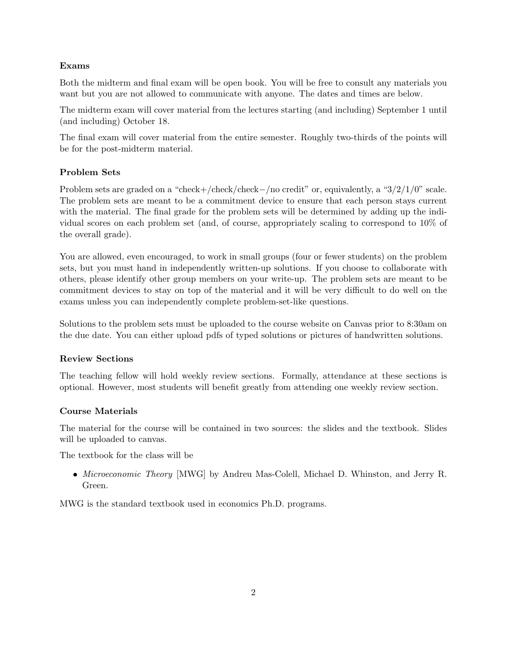# Exams

Both the midterm and final exam will be open book. You will be free to consult any materials you want but you are not allowed to communicate with anyone. The dates and times are below.

The midterm exam will cover material from the lectures starting (and including) September 1 until (and including) October 18.

The final exam will cover material from the entire semester. Roughly two-thirds of the points will be for the post-midterm material.

# Problem Sets

Problem sets are graded on a "check+/check/check−/no credit" or, equivalently, a "3/2/1/0" scale. The problem sets are meant to be a commitment device to ensure that each person stays current with the material. The final grade for the problem sets will be determined by adding up the individual scores on each problem set (and, of course, appropriately scaling to correspond to 10% of the overall grade).

You are allowed, even encouraged, to work in small groups (four or fewer students) on the problem sets, but you must hand in independently written-up solutions. If you choose to collaborate with others, please identify other group members on your write-up. The problem sets are meant to be commitment devices to stay on top of the material and it will be very difficult to do well on the exams unless you can independently complete problem-set-like questions.

Solutions to the problem sets must be uploaded to the course website on Canvas prior to 8:30am on the due date. You can either upload pdfs of typed solutions or pictures of handwritten solutions.

# Review Sections

The teaching fellow will hold weekly review sections. Formally, attendance at these sections is optional. However, most students will benefit greatly from attending one weekly review section.

# Course Materials

The material for the course will be contained in two sources: the slides and the textbook. Slides will be uploaded to canvas.

The textbook for the class will be

• Microeconomic Theory [MWG] by Andreu Mas-Colell, Michael D. Whinston, and Jerry R. Green.

MWG is the standard textbook used in economics Ph.D. programs.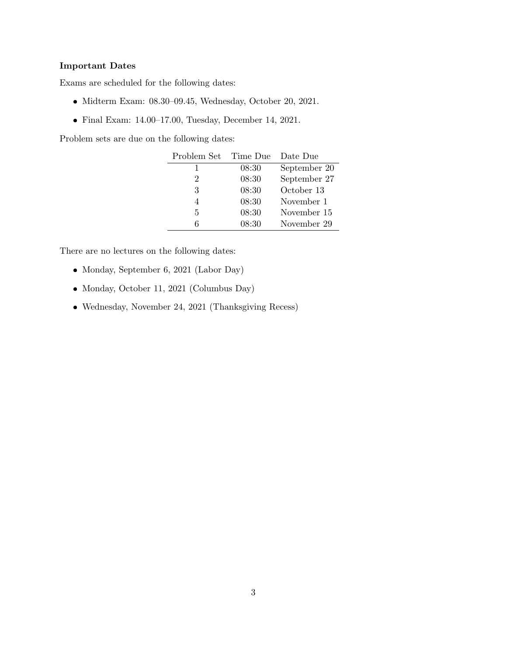## Important Dates

Exams are scheduled for the following dates:

- Midterm Exam: 08.30–09.45, Wednesday, October 20, 2021.
- Final Exam: 14.00–17.00, Tuesday, December 14, 2021.

Problem sets are due on the following dates:

| Problem Set | - Time Due | Date Due     |
|-------------|------------|--------------|
|             | 08:30      | September 20 |
| 2           | 08:30      | September 27 |
| 3           | 08:30      | October 13   |
|             | 08:30      | November 1   |
| 5           | 08:30      | November 15  |
| հ           | 08:30      | November 29  |

There are no lectures on the following dates:

- Monday, September 6, 2021 (Labor Day)
- Monday, October 11, 2021 (Columbus Day)
- Wednesday, November 24, 2021 (Thanksgiving Recess)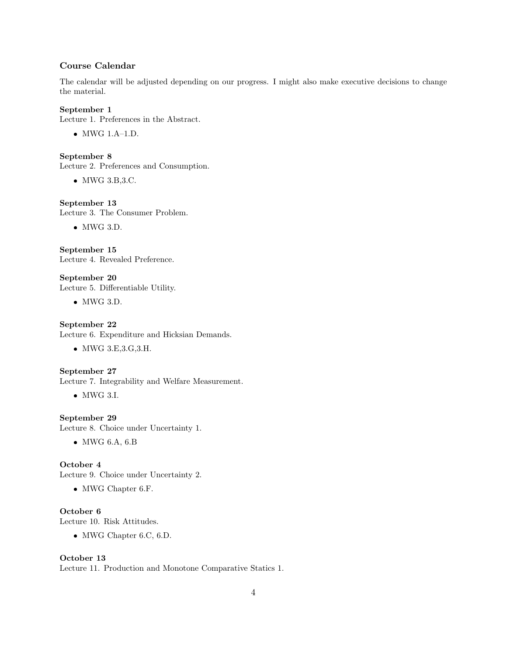## Course Calendar

The calendar will be adjusted depending on our progress. I might also make executive decisions to change the material.

## September 1

Lecture 1. Preferences in the Abstract.

MWG 1.A–1.D.

September 8

Lecture 2. Preferences and Consumption.

• MWG 3.B, 3.C.

### September 13

Lecture 3. The Consumer Problem.

 $\bullet$  MWG 3.D.

September 15 Lecture 4. Revealed Preference.

September 20 Lecture 5. Differentiable Utility.

 $\bullet$  MWG 3.D.

September 22

Lecture 6. Expenditure and Hicksian Demands.

MWG 3.E,3.G,3.H.

### September 27

Lecture 7. Integrability and Welfare Measurement.

• MWG 3.I.

## September 29

Lecture 8. Choice under Uncertainty 1.

MWG 6.A, 6.B

### October 4

Lecture 9. Choice under Uncertainty 2.

• MWG Chapter 6.F.

October 6 Lecture 10. Risk Attitudes.

MWG Chapter 6.C, 6.D.

### October 13

Lecture 11. Production and Monotone Comparative Statics 1.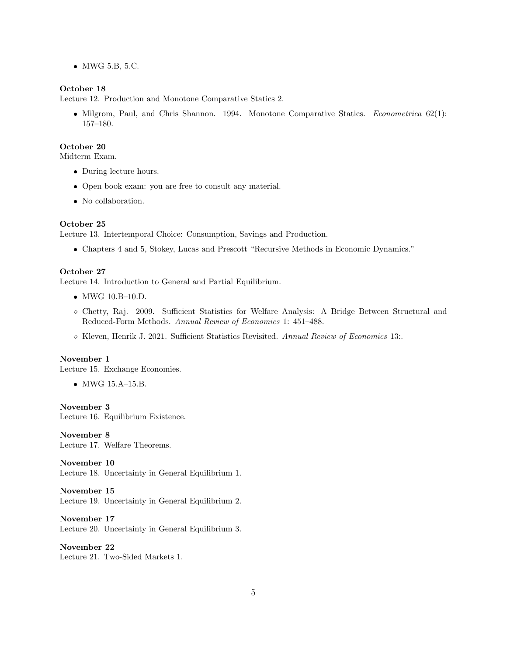MWG 5.B, 5.C.

### October 18

Lecture 12. Production and Monotone Comparative Statics 2.

• Milgrom, Paul, and Chris Shannon. 1994. Monotone Comparative Statics. Econometrica 62(1): 157–180.

### October 20

Midterm Exam.

- During lecture hours.
- Open book exam: you are free to consult any material.
- No collaboration.

### October 25

Lecture 13. Intertemporal Choice: Consumption, Savings and Production.

Chapters 4 and 5, Stokey, Lucas and Prescott "Recursive Methods in Economic Dynamics."

### October 27

Lecture 14. Introduction to General and Partial Equilibrium.

- MWG 10.B–10.D.
- ⋄ Chetty, Raj. 2009. Sufficient Statistics for Welfare Analysis: A Bridge Between Structural and Reduced-Form Methods. Annual Review of Economics 1: 451–488.
- ⋄ Kleven, Henrik J. 2021. Sufficient Statistics Revisited. Annual Review of Economics 13:.

#### November 1

Lecture 15. Exchange Economies.

MWG 15.A–15.B.

November 3

Lecture 16. Equilibrium Existence.

November 8 Lecture 17. Welfare Theorems.

November 10 Lecture 18. Uncertainty in General Equilibrium 1.

November 15 Lecture 19. Uncertainty in General Equilibrium 2.

November 17 Lecture 20. Uncertainty in General Equilibrium 3.

November 22 Lecture 21. Two-Sided Markets 1.